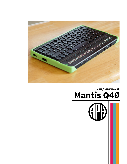

# Mantis Q40

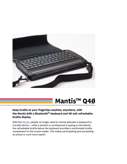

# Mantis™ Q4Ø

# Keep braille at your fingertips anytime, anywhere, with the Mantis Q40: a Bluetooth<sup>®</sup> keyboard and 40-cell refreshable braille display.

With the [Mantis](https://www.aph.org/product/mantis-q40/?utm_source=Conference+Handout&utm_medium=Brochure&utm_campaign=2022_Conferences), people no longer need to choose between a keyboard or a braille device – while a student or professional is typing on the Mantis, the refreshable braille below the keyboard provides a multimodal braille complement to the screen reader. This makes participating and succeeding at school or work much easier!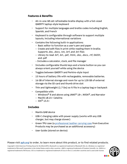## Features & Benefits

- All-in-one 40 cell refreshable braille display with a full-sized QWERTY laptop-style keyboard
- Support for multiple languages and braille codes including English, Spanish, and French
- Keyboard is configurable through software to support multiple layouts, including international variations
- Contains the following built-in applications:
	- Basic editor to function as a user's pen and paper
	- Create and edit files in print while reading them in braille. Supports .doc, .docx, .txt, .brf, and .brl files
	- Library to read .brf, .brl, .pef, .html, .doc, .docx, .rtf, DAISY, and .pdf
	- Includes a calculator, clock, and file manager
- Includes configurable thumb keys and a home button so you can always orient yourself while using the device
- Toggles between QWERTY and Perkins-style input
- 15 hours of battery life with rechargeable, removable batteries.
- 16 GB of internal storage and room for up to 128 GB of external storage via the SD card and thumb drive slot
- Thin and lightweight (1.7 lbs) so it fits in a laptop bag or backpack
- Compatible with:
	- Windows<sup>®</sup> 8 and above using JAWS<sup>®</sup> 18+, NVDA<sup>®</sup>, and Narrator
	- MacOS 1Ø.15+ Catalina
	- $-$  iOS<sup>®</sup> 13.3+

### **Includes**

- Mantis Q40 device
- USB-C charging cable with power supply (works with any USB charger, but may charge slower)
- Green TPU case (a [professional leather carrying case](https://www.aph.org/product/mantis-q40-executive-leather-case/) from Executive Products may be purchased as an additional accessory)
- User Guide (stored on device)

#### Please visit aph.org to order, to learn more about this product, or to find related products.

*Copyright © 2022 American Printing House for the Blind (APH). Bluetooth is a registered trademark of Bluetooth SIG, Inc. Windows is a registered trademark of Microsoft Corporation in the United States and/or other countries. JAWS is registered trademark of Freedom Scientific, Inc. NVDA is a registered trademark of NV Access. iOS is a trademark or registered trademark of Cisco in the U.S. and other countries and is used under license.*